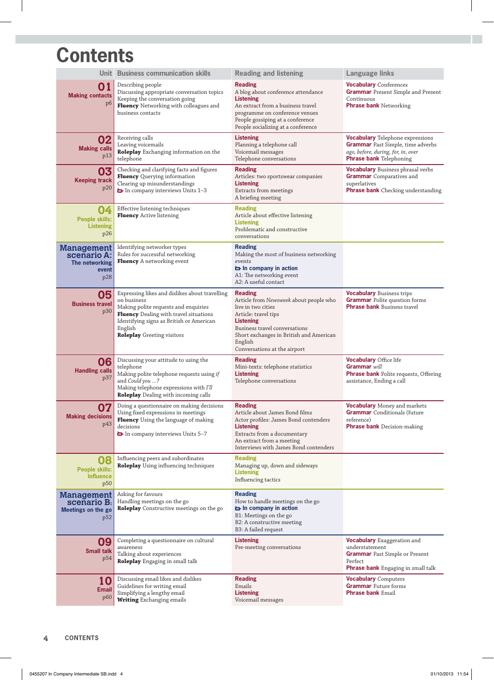## **Contents**

|                                                                      | Unit Business communication skills                                                                                                                                                                                                          | <b>Reading and listening</b>                                                                                                                                                                                                                      | <b>Language links</b>                                                                                                                                       |
|----------------------------------------------------------------------|---------------------------------------------------------------------------------------------------------------------------------------------------------------------------------------------------------------------------------------------|---------------------------------------------------------------------------------------------------------------------------------------------------------------------------------------------------------------------------------------------------|-------------------------------------------------------------------------------------------------------------------------------------------------------------|
| 01<br><b>Making contacts</b><br>p <sub>6</sub>                       | Describing people<br>Discussing appropriate conversation topics<br>Keeping the conversation going<br><b>Fluency</b> Networking with colleagues and<br>business contacts                                                                     | <b>Reading</b><br>A blog about conference attendance<br><b>Listening</b><br>An extract from a business travel<br>programme on conference venues<br>People gossiping at a conference<br>People socializing at a conference                         | <b>Vocabulary</b> Conferences<br><b>Grammar</b> Present Simple and Present<br>Continuous<br><b>Phrase bank Networking</b>                                   |
| 02<br><b>Making calls</b><br>p13                                     | Receiving calls<br>Leaving voicemails<br>Roleplay Exchanging information on the<br>telephone                                                                                                                                                | <b>Listening</b><br>Planning a telephone call<br>Voicemail messages<br>Telephone conversations                                                                                                                                                    | <b>Vocabulary</b> Telephone expressions<br><b>Grammar</b> Past Simple, time adverbs<br>ago, before, during, for, in, over<br><b>Phrase bank Telephoning</b> |
| 03<br><b>Keeping track</b><br>p20                                    | Checking and clarifying facts and figures<br>Fluency Querying information<br>Clearing up misunderstandings<br>In company interviews Units 1-3                                                                                               | <b>Reading</b><br>Articles: two sportswear companies<br><b>Listening</b><br>Extracts from meetings<br>A briefing meeting                                                                                                                          | <b>Vocabulary</b> Business phrasal verbs<br><b>Grammar</b> Comparatives and<br>superlatives<br><b>Phrase bank</b> Checking understanding                    |
| 04<br>People skills:<br><b>Listening</b><br>p26                      | Effective listening techniques<br>Fluency Active listening                                                                                                                                                                                  | <b>Reading</b><br>Article about effective listening<br><b>Listening</b><br>Problematic and constructive<br>conversations                                                                                                                          |                                                                                                                                                             |
| <b>Management</b><br>scenario A:<br>The networking<br>event<br>p28   | Identifying networker types<br>Rules for successful networking<br>Fluency A networking event                                                                                                                                                | <b>Reading</b><br>Making the most of business networking<br>events<br>in company in action<br>A1: The networking event<br>A2: A useful contact.                                                                                                   |                                                                                                                                                             |
| 05<br><b>Business travel</b><br>p30                                  | Expressing likes and dislikes about travelling<br>on business<br>Making polite requests and enquiries<br>Fluency Dealing with travel situations<br>Identifying signs as British or American<br>English<br><b>Roleplay</b> Greeting visitors | <b>Reading</b><br>Article from Newsweek about people who<br>live in two cities<br>Article: travel tips<br><b>Listening</b><br>Business travel conversations<br>Short exchanges in British and American<br>English<br>Conversations at the airport | <b>Vocabulary</b> Business trips<br><b>Grammar</b> Polite question forms<br><b>Phrase bank</b> Business travel                                              |
| 06<br><b>Handling calls</b><br>p37                                   | Discussing your attitude to using the<br>telephone<br>Making polite telephone requests using if<br>and Could you ?<br>Making telephone expressions with I'll<br><b>Roleplay</b> Dealing with incoming calls                                 | <b>Reading</b><br>Mini-texts: telephone statistics<br><b>Listening</b><br>Telephone conversations                                                                                                                                                 | <b>Vocabulary Office life</b><br>Grammar will<br><b>Phrase bank</b> Polite requests, Offering<br>assistance, Ending a call                                  |
| 07<br><b>Making decisions</b><br>p43                                 | Doing a questionnaire on making decisions<br>Using fixed expressions in meetings<br>Fluency Using the language of making<br>decisions<br>In company interviews Units 5-7                                                                    | <b>Reading</b><br>Article about James Bond films<br>Actor profiles: James Bond contenders<br><b>Listening</b><br>Extracts from a documentary<br>An extract from a meeting<br>Interviews with James Bond contenders                                | <b>Vocabulary</b> Money and markets<br><b>Grammar</b> Conditionals (future<br>reference)<br><b>Phrase bank</b> Decision-making                              |
| 08<br><b>People skills:</b><br><b>Influence</b><br>p <sub>50</sub>   | Influencing peers and subordinates<br><b>Roleplay</b> Using influencing techniques                                                                                                                                                          | <b>Reading</b><br>Managing up, down and sideways<br><b>Listening</b><br>Influencing tactics                                                                                                                                                       |                                                                                                                                                             |
| <b>Management</b><br>scenario B.<br><b>Meetings on the go</b><br>p52 | Asking for favours<br>Handling meetings on the go<br><b>Roleplay</b> Constructive meetings on the go                                                                                                                                        | <b>Reading</b><br>How to handle meetings on the go<br>in company in action<br>B1: Meetings on the go<br>B2: A constructive meeting<br>B3: A failed request                                                                                        |                                                                                                                                                             |
| 09<br><b>Small talk</b><br>p54                                       | Completing a questionnaire on cultural<br>awareness<br>Talking about experiences<br>Roleplay Engaging in small talk                                                                                                                         | <b>Listening</b><br>Pre-meeting conversations                                                                                                                                                                                                     | <b>Vocabulary</b> Exaggeration and<br>understatement<br><b>Grammar</b> Past Simple or Present<br>Perfect<br><b>Phrase bank</b> Engaging in small talk       |
| 10<br><b>Email</b><br>p60                                            | Discussing email likes and dislikes<br>Guidelines for writing email<br>Simplifying a lengthy email<br><b>Writing Exchanging emails</b>                                                                                                      | <b>Reading</b><br>Emails<br><b>Listening</b><br>Voicemail messages                                                                                                                                                                                | <b>Vocabulary</b> Computers<br><b>Grammar</b> Future forms<br><b>Phrase bank Email</b>                                                                      |